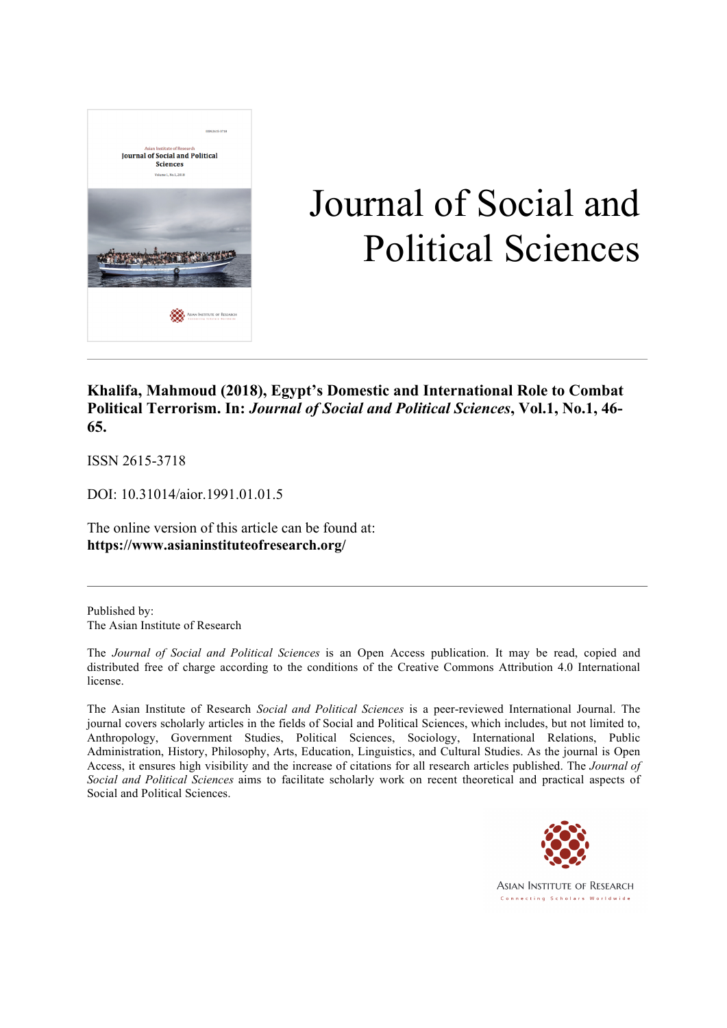

# Journal of Social and Political Sciences

# **Khalifa, Mahmoud (2018), Egypt's Domestic and International Role to Combat Political Terrorism. In:** *Journal of Social and Political Sciences***, Vol.1, No.1, 46- 65.**

ISSN 2615-3718

DOI: 10.31014/aior.1991.01.01.5

The online version of this article can be found at: **https://www.asianinstituteofresearch.org/**

Published by: The Asian Institute of Research

The *Journal of Social and Political Sciences* is an Open Access publication. It may be read, copied and distributed free of charge according to the conditions of the Creative Commons Attribution 4.0 International license.

The Asian Institute of Research *Social and Political Sciences* is a peer-reviewed International Journal. The journal covers scholarly articles in the fields of Social and Political Sciences, which includes, but not limited to, Anthropology, Government Studies, Political Sciences, Sociology, International Relations, Public Administration, History, Philosophy, Arts, Education, Linguistics, and Cultural Studies. As the journal is Open Access, it ensures high visibility and the increase of citations for all research articles published. The *Journal of Social and Political Sciences* aims to facilitate scholarly work on recent theoretical and practical aspects of Social and Political Sciences.



**ASIAN INSTITUTE OF RESEARCH** Connecting Scholars Worldwide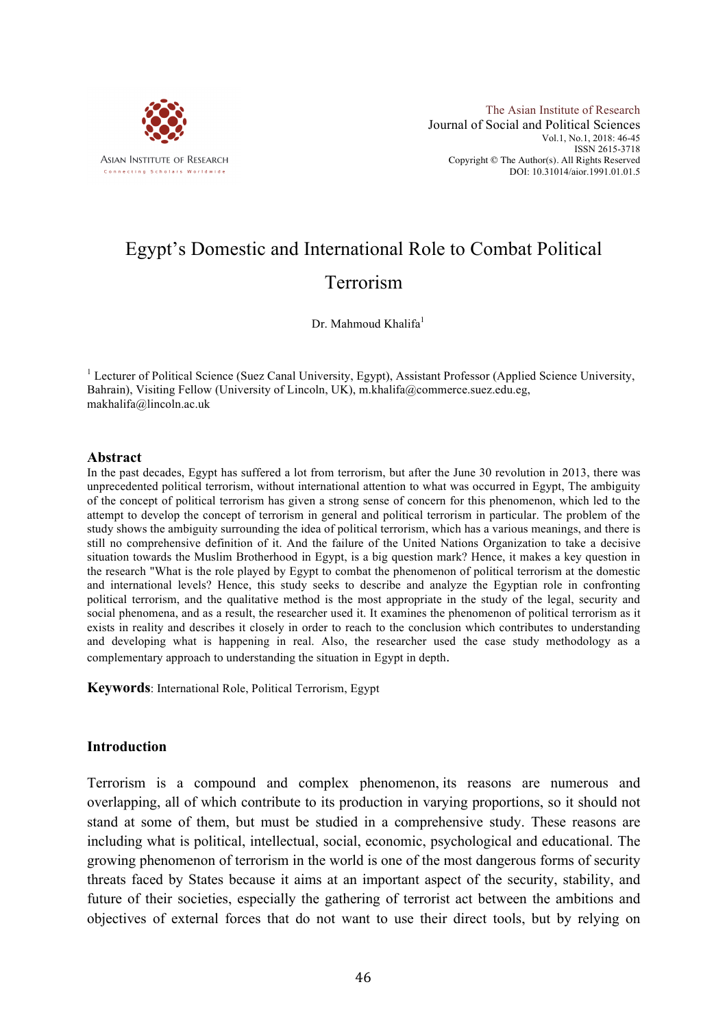

# Egypt's Domestic and International Role to Combat Political Terrorism

Dr. Mahmoud Khalifa<sup>1</sup>

<sup>1</sup> Lecturer of Political Science (Suez Canal University, Egypt), Assistant Professor (Applied Science University, Bahrain), Visiting Fellow (University of Lincoln, UK), m.khalifa@commerce.suez.edu.eg, makhalifa@lincoln.ac.uk

#### **Abstract**

In the past decades, Egypt has suffered a lot from terrorism, but after the June 30 revolution in 2013, there was unprecedented political terrorism, without international attention to what was occurred in Egypt, The ambiguity of the concept of political terrorism has given a strong sense of concern for this phenomenon, which led to the attempt to develop the concept of terrorism in general and political terrorism in particular. The problem of the study shows the ambiguity surrounding the idea of political terrorism, which has a various meanings, and there is still no comprehensive definition of it. And the failure of the United Nations Organization to take a decisive situation towards the Muslim Brotherhood in Egypt, is a big question mark? Hence, it makes a key question in the research "What is the role played by Egypt to combat the phenomenon of political terrorism at the domestic and international levels? Hence, this study seeks to describe and analyze the Egyptian role in confronting political terrorism, and the qualitative method is the most appropriate in the study of the legal, security and social phenomena, and as a result, the researcher used it. It examines the phenomenon of political terrorism as it exists in reality and describes it closely in order to reach to the conclusion which contributes to understanding and developing what is happening in real. Also, the researcher used the case study methodology as a complementary approach to understanding the situation in Egypt in depth.

**Keywords**: International Role, Political Terrorism, Egypt

#### **Introduction**

Terrorism is a compound and complex phenomenon, its reasons are numerous and overlapping, all of which contribute to its production in varying proportions, so it should not stand at some of them, but must be studied in a comprehensive study. These reasons are including what is political, intellectual, social, economic, psychological and educational. The growing phenomenon of terrorism in the world is one of the most dangerous forms of security threats faced by States because it aims at an important aspect of the security, stability, and future of their societies, especially the gathering of terrorist act between the ambitions and objectives of external forces that do not want to use their direct tools, but by relying on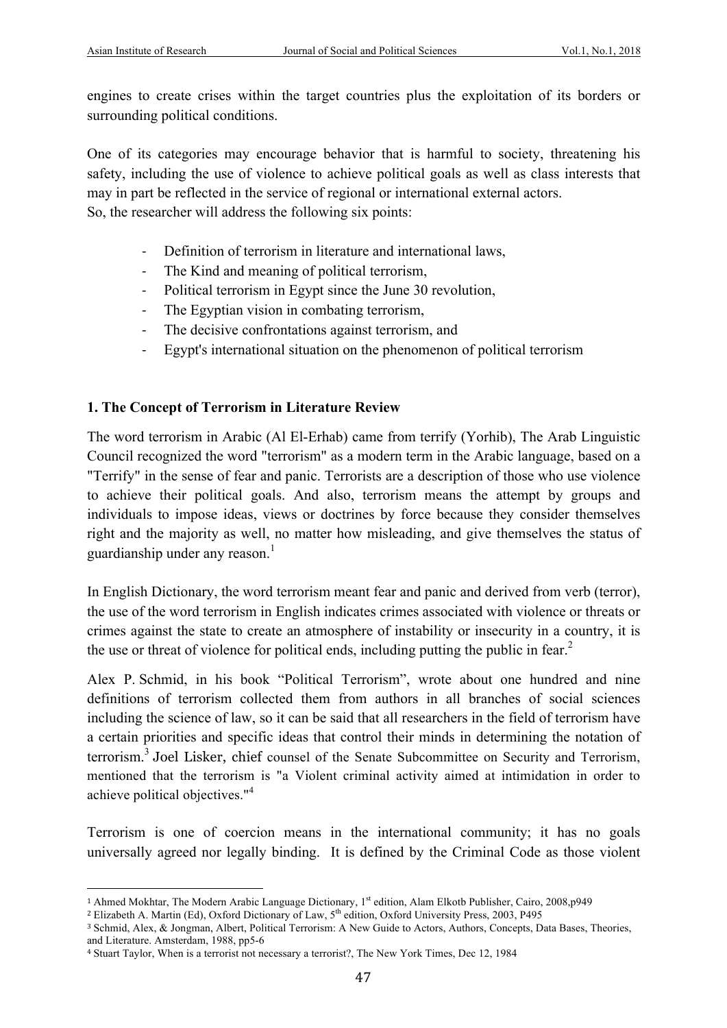engines to create crises within the target countries plus the exploitation of its borders or surrounding political conditions.

One of its categories may encourage behavior that is harmful to society, threatening his safety, including the use of violence to achieve political goals as well as class interests that may in part be reflected in the service of regional or international external actors.

So, the researcher will address the following six points:

- Definition of terrorism in literature and international laws,
- The Kind and meaning of political terrorism,
- Political terrorism in Egypt since the June 30 revolution,
- The Egyptian vision in combating terrorism,
- The decisive confrontations against terrorism, and
- Egypt's international situation on the phenomenon of political terrorism

# **1. The Concept of Terrorism in Literature Review**

The word terrorism in Arabic (Al El-Erhab) came from terrify (Yorhib), The Arab Linguistic Council recognized the word "terrorism" as a modern term in the Arabic language, based on a "Terrify" in the sense of fear and panic. Terrorists are a description of those who use violence to achieve their political goals. And also, terrorism means the attempt by groups and individuals to impose ideas, views or doctrines by force because they consider themselves right and the majority as well, no matter how misleading, and give themselves the status of guardianship under any reason. 1

In English Dictionary, the word terrorism meant fear and panic and derived from verb (terror), the use of the word terrorism in English indicates crimes associated with violence or threats or crimes against the state to create an atmosphere of instability or insecurity in a country, it is the use or threat of violence for political ends, including putting the public in fear.<sup>2</sup>

Alex P. Schmid, in his book "Political Terrorism", wrote about one hundred and nine definitions of terrorism collected them from authors in all branches of social sciences including the science of law, so it can be said that all researchers in the field of terrorism have a certain priorities and specific ideas that control their minds in determining the notation of terrorism.<sup>3</sup> Joel Lisker, chief counsel of the Senate Subcommittee on Security and Terrorism, mentioned that the terrorism is "a Violent criminal activity aimed at intimidation in order to achieve political objectives."<sup>4</sup>

Terrorism is one of coercion means in the international community; it has no goals universally agreed nor legally binding. It is defined by the Criminal Code as those violent

 <sup>1</sup> Ahmed Mokhtar, The Modern Arabic Language Dictionary, 1st edition, Alam Elkotb Publisher, Cairo, 2008,p949

<sup>&</sup>lt;sup>2</sup> Elizabeth A. Martin (Ed), Oxford Dictionary of Law, 5<sup>th</sup> edition, Oxford University Press, 2003, P495

<sup>3</sup> Schmid, Alex, & Jongman, Albert, Political Terrorism: A New Guide to Actors, Authors, Concepts, Data Bases, Theories, and Literature. Amsterdam, 1988, pp5-6

<sup>4</sup> Stuart Taylor, When is a terrorist not necessary a terrorist?, The New York Times, Dec 12, 1984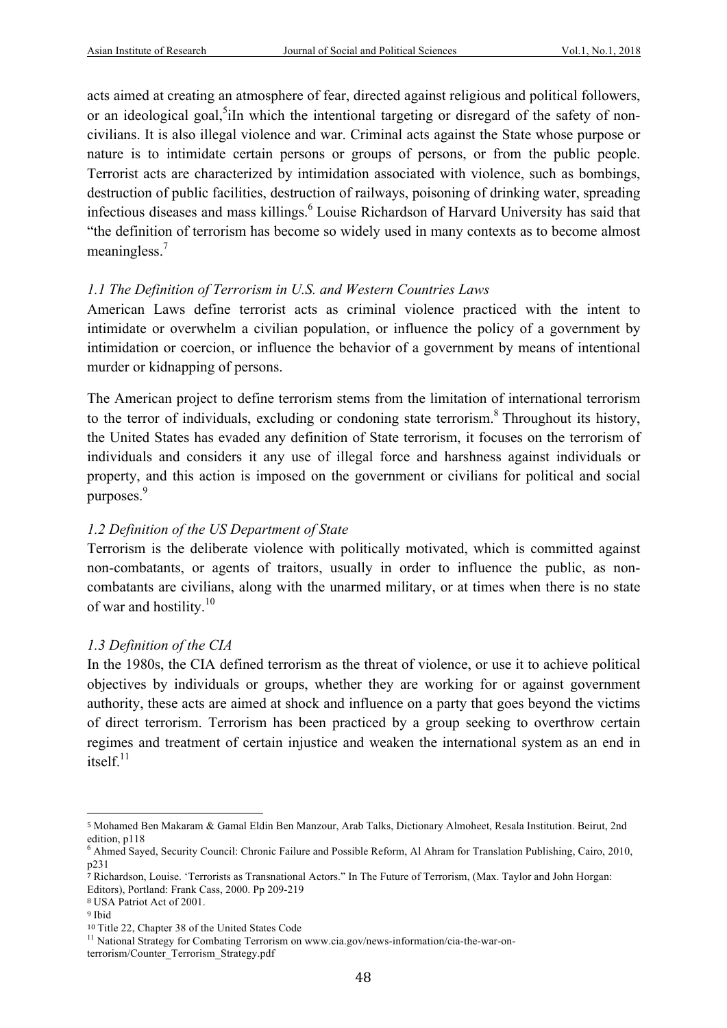acts aimed at creating an atmosphere of fear, directed against religious and political followers, or an ideological goal,<sup>5</sup>iIn which the intentional targeting or disregard of the safety of noncivilians. It is also illegal violence and war. Criminal acts against the State whose purpose or nature is to intimidate certain persons or groups of persons, or from the public people. Terrorist acts are characterized by intimidation associated with violence, such as bombings, destruction of public facilities, destruction of railways, poisoning of drinking water, spreading infectious diseases and mass killings.<sup>6</sup> Louise Richardson of Harvard University has said that "the definition of terrorism has become so widely used in many contexts as to become almost meaningless.<sup>7</sup>

# *1.1 The Definition of Terrorism in U.S. and Western Countries Laws*

American Laws define terrorist acts as criminal violence practiced with the intent to intimidate or overwhelm a civilian population, or influence the policy of a government by intimidation or coercion, or influence the behavior of a government by means of intentional murder or kidnapping of persons.

The American project to define terrorism stems from the limitation of international terrorism to the terror of individuals, excluding or condoning state terrorism.<sup>8</sup> Throughout its history, the United States has evaded any definition of State terrorism, it focuses on the terrorism of individuals and considers it any use of illegal force and harshness against individuals or property, and this action is imposed on the government or civilians for political and social purposes.<sup>9</sup>

# *1.2 Definition of the US Department of State*

Terrorism is the deliberate violence with politically motivated, which is committed against non-combatants, or agents of traitors, usually in order to influence the public, as noncombatants are civilians, along with the unarmed military, or at times when there is no state of war and hostility. $10$ 

# *1.3 Definition of the CIA*

In the 1980s, the CIA defined terrorism as the threat of violence, or use it to achieve political objectives by individuals or groups, whether they are working for or against government authority, these acts are aimed at shock and influence on a party that goes beyond the victims of direct terrorism. Terrorism has been practiced by a group seeking to overthrow certain regimes and treatment of certain injustice and weaken the international system as an end in  $itself$ <sup>11</sup>

<sup>5</sup> Mohamed Ben Makaram & Gamal Eldin Ben Manzour, Arab Talks, Dictionary Almoheet, Resala Institution. Beirut, 2nd edition, p118

 $<sup>6</sup>$  Ahmed Saved, Security Council: Chronic Failure and Possible Reform, Al Ahram for Translation Publishing, Cairo, 2010,</sup> p231

<sup>7</sup> Richardson, Louise. 'Terrorists as Transnational Actors." In The Future of Terrorism, (Max. Taylor and John Horgan: Editors), Portland: Frank Cass, 2000. Pp 209-219

<sup>8</sup> USA Patriot Act of 2001.

<sup>9</sup> Ibid

<sup>&</sup>lt;sup>10</sup> Title 22, Chapter 38 of the United States Code  $11$  National Strategy for Combating Terrorism on www.cia.gov/news-information/cia-the-war-on-

terrorism/Counter\_Terrorism\_Strategy.pdf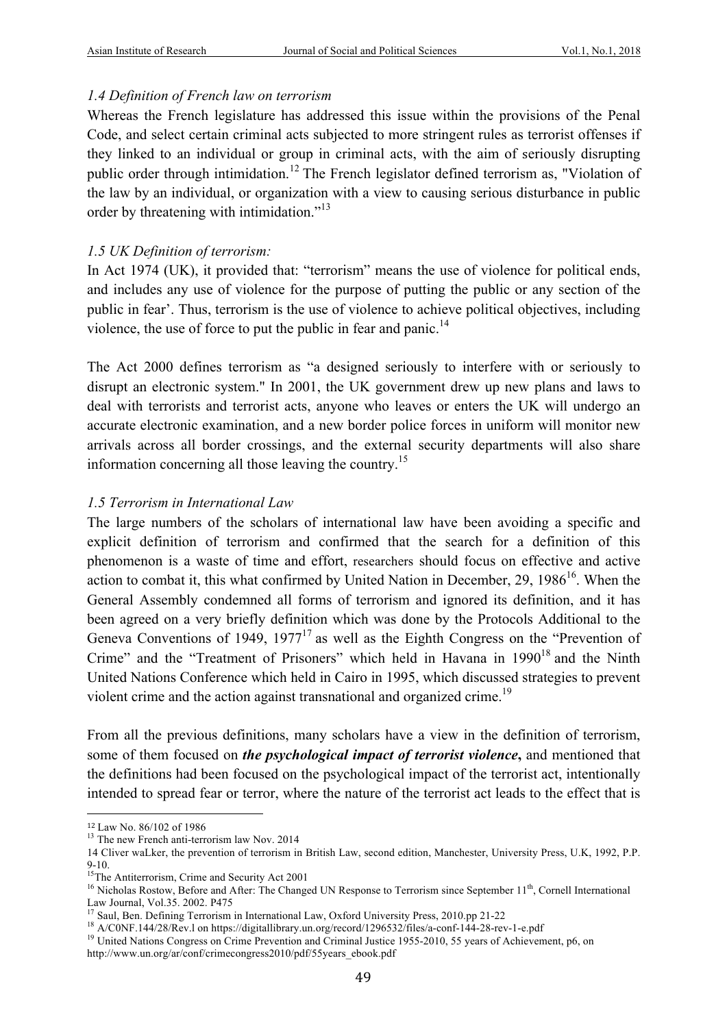#### *1.4 Definition of French law on terrorism*

Whereas the French legislature has addressed this issue within the provisions of the Penal Code, and select certain criminal acts subjected to more stringent rules as terrorist offenses if they linked to an individual or group in criminal acts, with the aim of seriously disrupting public order through intimidation.<sup>12</sup> The French legislator defined terrorism as, "Violation of the law by an individual, or organization with a view to causing serious disturbance in public order by threatening with intimidation."<sup>13</sup>

#### *1.5 UK Definition of terrorism:*

In Act 1974 (UK), it provided that: "terrorism" means the use of violence for political ends, and includes any use of violence for the purpose of putting the public or any section of the public in fear'. Thus, terrorism is the use of violence to achieve political objectives, including violence, the use of force to put the public in fear and panic.<sup>14</sup>

The Act 2000 defines terrorism as "a designed seriously to interfere with or seriously to disrupt an electronic system." In 2001, the UK government drew up new plans and laws to deal with terrorists and terrorist acts, anyone who leaves or enters the UK will undergo an accurate electronic examination, and a new border police forces in uniform will monitor new arrivals across all border crossings, and the external security departments will also share information concerning all those leaving the country.<sup>15</sup>

#### *1.5 Terrorism in International Law*

The large numbers of the scholars of international law have been avoiding a specific and explicit definition of terrorism and confirmed that the search for a definition of this phenomenon is a waste of time and effort, researchers should focus on effective and active action to combat it, this what confirmed by United Nation in December,  $29$ ,  $1986^{16}$ . When the General Assembly condemned all forms of terrorism and ignored its definition, and it has been agreed on a very briefly definition which was done by the Protocols Additional to the Geneva Conventions of 1949,  $1977<sup>17</sup>$  as well as the Eighth Congress on the "Prevention of Crime" and the "Treatment of Prisoners" which held in Havana in  $1990<sup>18</sup>$  and the Ninth United Nations Conference which held in Cairo in 1995, which discussed strategies to prevent violent crime and the action against transnational and organized crime.<sup>19</sup>

From all the previous definitions, many scholars have a view in the definition of terrorism, some of them focused on *the psychological impact of terrorist violence***,** and mentioned that the definitions had been focused on the psychological impact of the terrorist act, intentionally intended to spread fear or terror, where the nature of the terrorist act leads to the effect that is

<sup>&</sup>lt;sup>12</sup> Law No. 86/102 of 1986<br><sup>13</sup> The new French anti-terrorism law Nov. 2014

<sup>14</sup> Cliver waLker, the prevention of terrorism in British Law, second edition, Manchester, University Press, U.K, 1992, P.P. 9-10.<br><sup>15</sup>The Antiterrorism, Crime and Security Act 2001

<sup>&</sup>lt;sup>16</sup> Nicholas Rostow, Before and After: The Changed UN Response to Terrorism since September 11<sup>th</sup>, Cornell International Law Journal, Vol.35. 2002. P475<br><sup>17</sup> Saul, Ben. Defining Terrorism in International Law, Oxford University Press, 2010.pp 21-22

<sup>&</sup>lt;sup>18</sup> A/CONF.144/28/Rev.1 on https://digitallibrary.un.org/record/1296532/files/a-conf-144-28-rev-1-e.pdf<br><sup>19</sup> United Nations Congress on Crime Prevention and Criminal Justice 1955-2010, 55 years of Achievement, p6, on

http://www.un.org/ar/conf/crimecongress2010/pdf/55years\_ebook.pdf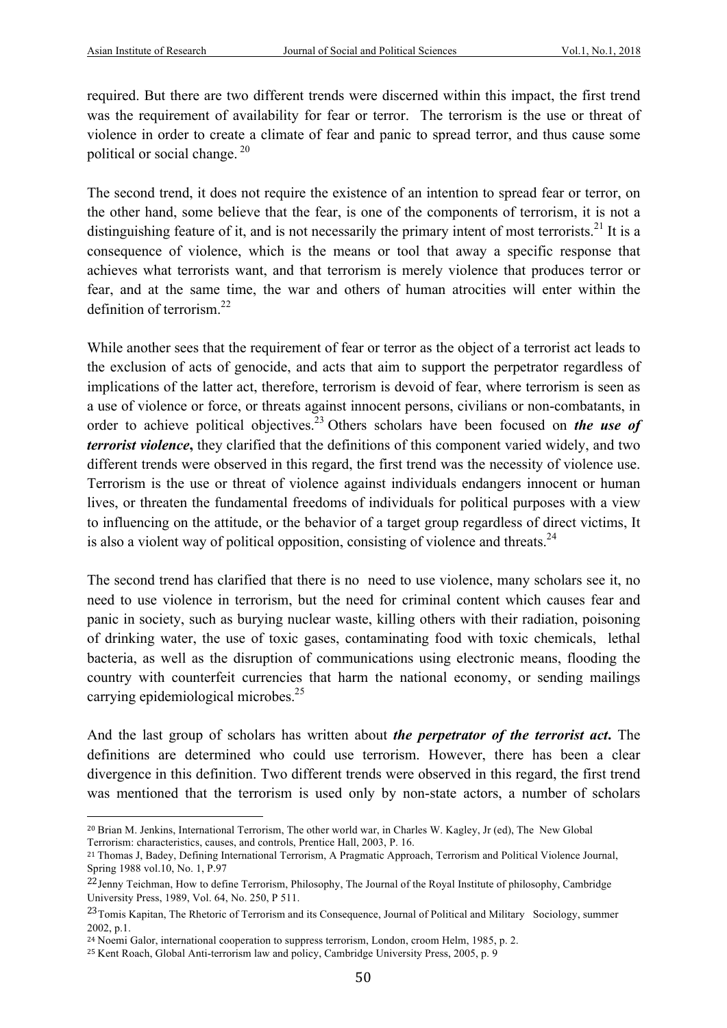required. But there are two different trends were discerned within this impact, the first trend was the requirement of availability for fear or terror. The terrorism is the use or threat of violence in order to create a climate of fear and panic to spread terror, and thus cause some political or social change.<sup>20</sup>

The second trend, it does not require the existence of an intention to spread fear or terror, on the other hand, some believe that the fear, is one of the components of terrorism, it is not a distinguishing feature of it, and is not necessarily the primary intent of most terrorists.<sup>21</sup> It is a consequence of violence, which is the means or tool that away a specific response that achieves what terrorists want, and that terrorism is merely violence that produces terror or fear, and at the same time, the war and others of human atrocities will enter within the definition of terrorism.<sup>22</sup>

While another sees that the requirement of fear or terror as the object of a terrorist act leads to the exclusion of acts of genocide, and acts that aim to support the perpetrator regardless of implications of the latter act, therefore, terrorism is devoid of fear, where terrorism is seen as a use of violence or force, or threats against innocent persons, civilians or non-combatants, in order to achieve political objectives. <sup>23</sup> Others scholars have been focused on *the use of terrorist violence***,** they clarified that the definitions of this component varied widely, and two different trends were observed in this regard, the first trend was the necessity of violence use. Terrorism is the use or threat of violence against individuals endangers innocent or human lives, or threaten the fundamental freedoms of individuals for political purposes with a view to influencing on the attitude, or the behavior of a target group regardless of direct victims, It is also a violent way of political opposition, consisting of violence and threats.<sup>24</sup>

The second trend has clarified that there is no need to use violence, many scholars see it, no need to use violence in terrorism, but the need for criminal content which causes fear and panic in society, such as burying nuclear waste, killing others with their radiation, poisoning of drinking water, the use of toxic gases, contaminating food with toxic chemicals, lethal bacteria, as well as the disruption of communications using electronic means, flooding the country with counterfeit currencies that harm the national economy, or sending mailings carrying epidemiological microbes.<sup>25</sup>

And the last group of scholars has written about *the perpetrator of the terrorist act***.** The definitions are determined who could use terrorism. However, there has been a clear divergence in this definition. Two different trends were observed in this regard, the first trend was mentioned that the terrorism is used only by non-state actors, a number of scholars

<sup>20</sup> Brian M. Jenkins, International Terrorism, The other world war, in Charles W. Kagley, Jr (ed), The New Global Terrorism: characteristics, causes, and controls, Prentice Hall, 2003, P. 16.

<sup>21</sup> Thomas J, Badey, Defining International Terrorism, A Pragmatic Approach, Terrorism and Political Violence Journal, Spring 1988 vol.10, No. 1, P.97

<sup>&</sup>lt;sup>22</sup>Jenny Teichman, How to define Terrorism, Philosophy, The Journal of the Royal Institute of philosophy, Cambridge University Press, 1989, Vol. 64, No. 250, P 511.

<sup>&</sup>lt;sup>23</sup>Tomis Kapitan, The Rhetoric of Terrorism and its Consequence, Journal of Political and Military Sociology, summer 2002, p.1.

<sup>&</sup>lt;sup>24</sup> Noemi Galor, international cooperation to suppress terrorism, London, croom Helm, 1985, p. 2.

<sup>25</sup> Kent Roach, Global Anti-terrorism law and policy, Cambridge University Press, 2005, p. 9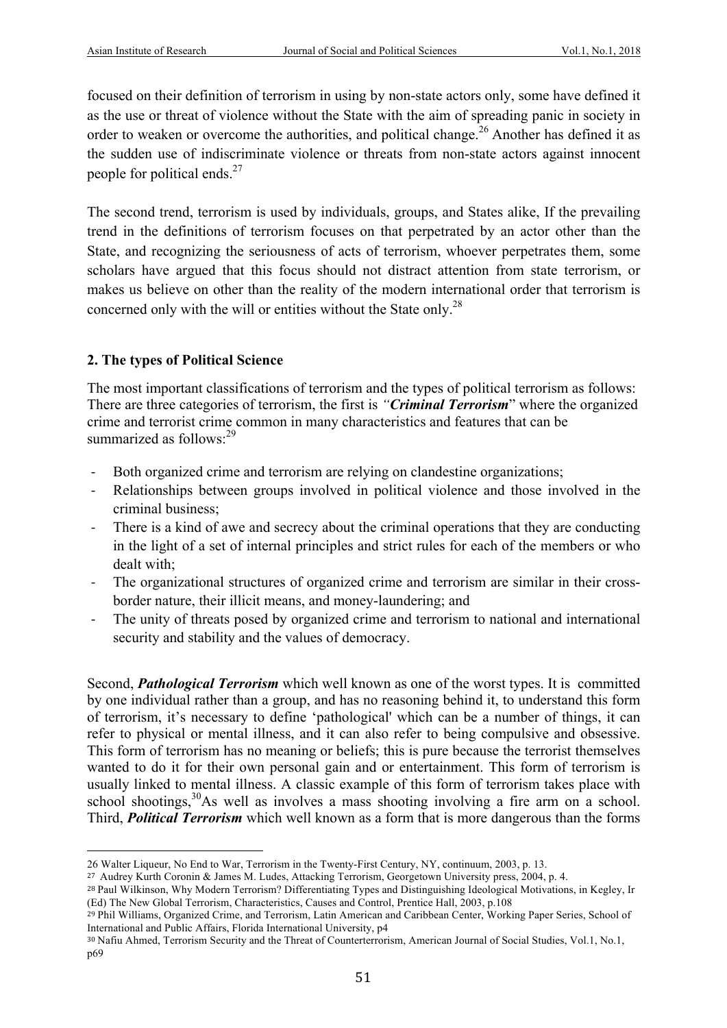focused on their definition of terrorism in using by non-state actors only, some have defined it as the use or threat of violence without the State with the aim of spreading panic in society in order to weaken or overcome the authorities, and political change.<sup>26</sup> Another has defined it as the sudden use of indiscriminate violence or threats from non-state actors against innocent people for political ends.<sup>27</sup>

The second trend, terrorism is used by individuals, groups, and States alike, If the prevailing trend in the definitions of terrorism focuses on that perpetrated by an actor other than the State, and recognizing the seriousness of acts of terrorism, whoever perpetrates them, some scholars have argued that this focus should not distract attention from state terrorism, or makes us believe on other than the reality of the modern international order that terrorism is concerned only with the will or entities without the State only.<sup>28</sup>

# **2. The types of Political Science**

 

The most important classifications of terrorism and the types of political terrorism as follows: There are three categories of terrorism, the first is *"Criminal Terrorism*" where the organized crime and terrorist crime common in many characteristics and features that can be summarized as follows:<sup>29</sup>

- Both organized crime and terrorism are relying on clandestine organizations;
- Relationships between groups involved in political violence and those involved in the criminal business;
- There is a kind of awe and secrecy about the criminal operations that they are conducting in the light of a set of internal principles and strict rules for each of the members or who dealt with;
- The organizational structures of organized crime and terrorism are similar in their crossborder nature, their illicit means, and money-laundering; and
- The unity of threats posed by organized crime and terrorism to national and international security and stability and the values of democracy.

Second, *Pathological Terrorism* which well known as one of the worst types. It is committed by one individual rather than a group, and has no reasoning behind it, to understand this form of terrorism, it's necessary to define 'pathological' which can be a number of things, it can refer to physical or mental illness, and it can also refer to being compulsive and obsessive. This form of terrorism has no meaning or beliefs; this is pure because the terrorist themselves wanted to do it for their own personal gain and or entertainment. This form of terrorism is usually linked to mental illness. A classic example of this form of terrorism takes place with school shootings,<sup>30</sup>As well as involves a mass shooting involving a fire arm on a school. Third, *Political Terrorism* which well known as a form that is more dangerous than the forms

<sup>26</sup> Walter Liqueur, No End to War, Terrorism in the Twenty-First Century, NY, continuum, 2003, p. 13.

<sup>&</sup>lt;sup>27</sup> Audrey Kurth Coronin & James M. Ludes, Attacking Terrorism, Georgetown University press, 2004, p. 4.

<sup>28</sup> Paul Wilkinson, Why Modern Terrorism? Differentiating Types and Distinguishing Ideological Motivations, in Kegley, Ir (Ed) The New Global Terrorism, Characteristics, Causes and Control, Prentice Hall, 2003, p.108

<sup>&</sup>lt;sup>29</sup> Phil Williams, Organized Crime, and Terrorism, Latin American and Caribbean Center, Working Paper Series, School of International and Public Affairs, Florida International University, p4

<sup>30</sup> Nafiu Ahmed, Terrorism Security and the Threat of Counterterrorism, American Journal of Social Studies, Vol.1, No.1, p69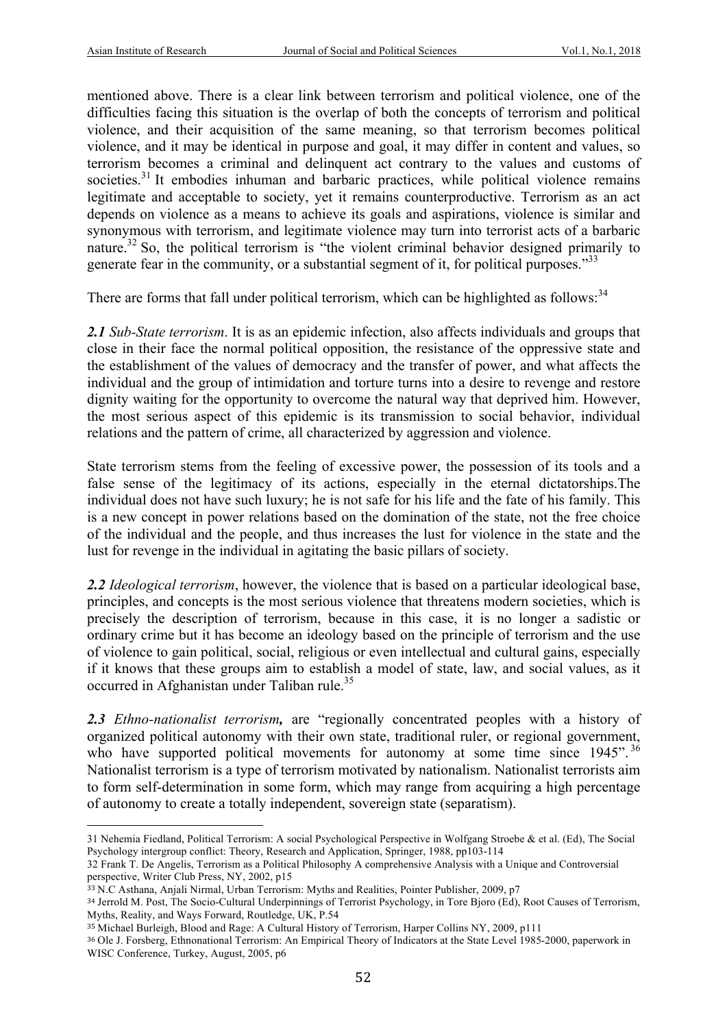mentioned above. There is a clear link between terrorism and political violence, one of the difficulties facing this situation is the overlap of both the concepts of terrorism and political violence, and their acquisition of the same meaning, so that terrorism becomes political violence, and it may be identical in purpose and goal, it may differ in content and values, so terrorism becomes a criminal and delinquent act contrary to the values and customs of societies.<sup>31</sup> It embodies inhuman and barbaric practices, while political violence remains legitimate and acceptable to society, yet it remains counterproductive. Terrorism as an act depends on violence as a means to achieve its goals and aspirations, violence is similar and synonymous with terrorism, and legitimate violence may turn into terrorist acts of a barbaric nature.<sup>32</sup> So, the political terrorism is "the violent criminal behavior designed primarily to generate fear in the community, or a substantial segment of it, for political purposes."<sup>33</sup>

There are forms that fall under political terrorism, which can be highlighted as follows:<sup>34</sup>

*2.1 Sub-State terrorism*. It is as an epidemic infection, also affects individuals and groups that close in their face the normal political opposition, the resistance of the oppressive state and the establishment of the values of democracy and the transfer of power, and what affects the individual and the group of intimidation and torture turns into a desire to revenge and restore dignity waiting for the opportunity to overcome the natural way that deprived him. However, the most serious aspect of this epidemic is its transmission to social behavior, individual relations and the pattern of crime, all characterized by aggression and violence.

State terrorism stems from the feeling of excessive power, the possession of its tools and a false sense of the legitimacy of its actions, especially in the eternal dictatorships.The individual does not have such luxury; he is not safe for his life and the fate of his family. This is a new concept in power relations based on the domination of the state, not the free choice of the individual and the people, and thus increases the lust for violence in the state and the lust for revenge in the individual in agitating the basic pillars of society.

*2.2 Ideological terrorism*, however, the violence that is based on a particular ideological base, principles, and concepts is the most serious violence that threatens modern societies, which is precisely the description of terrorism, because in this case, it is no longer a sadistic or ordinary crime but it has become an ideology based on the principle of terrorism and the use of violence to gain political, social, religious or even intellectual and cultural gains, especially if it knows that these groups aim to establish a model of state, law, and social values, as it occurred in Afghanistan under Taliban rule.<sup>35</sup>

*2.3 Ethno-nationalist terrorism,* are "regionally concentrated peoples with a history of organized political autonomy with their own state, traditional ruler, or regional government, who have supported political movements for autonomy at some time since  $1945$ ". <sup>36</sup> Nationalist terrorism is a type of terrorism motivated by nationalism. Nationalist terrorists aim to form self-determination in some form, which may range from acquiring a high percentage of autonomy to create a totally independent, sovereign state (separatism).

<sup>31</sup> Nehemia Fiedland, Political Terrorism: A social Psychological Perspective in Wolfgang Stroebe & et al. (Ed), The Social Psychology intergroup conflict: Theory, Research and Application, Springer, 1988, pp103-114

<sup>32</sup> Frank T. De Angelis, Terrorism as a Political Philosophy A comprehensive Analysis with a Unique and Controversial perspective, Writer Club Press, NY, 2002, p15

<sup>33</sup> N.C Asthana, Anjali Nirmal, Urban Terrorism: Myths and Realities, Pointer Publisher, 2009, p7

<sup>34</sup> Jerrold M. Post, The Socio-Cultural Underpinnings of Terrorist Psychology, in Tore Bjoro (Ed), Root Causes of Terrorism, Myths, Reality, and Ways Forward, Routledge, UK, P.54

<sup>35</sup> Michael Burleigh, Blood and Rage: A Cultural History of Terrorism, Harper Collins NY, 2009, p111

<sup>36</sup> Ole J. Forsberg, Ethnonational Terrorism: An Empirical Theory of Indicators at the State Level 1985-2000, paperwork in WISC Conference, Turkey, August, 2005, p6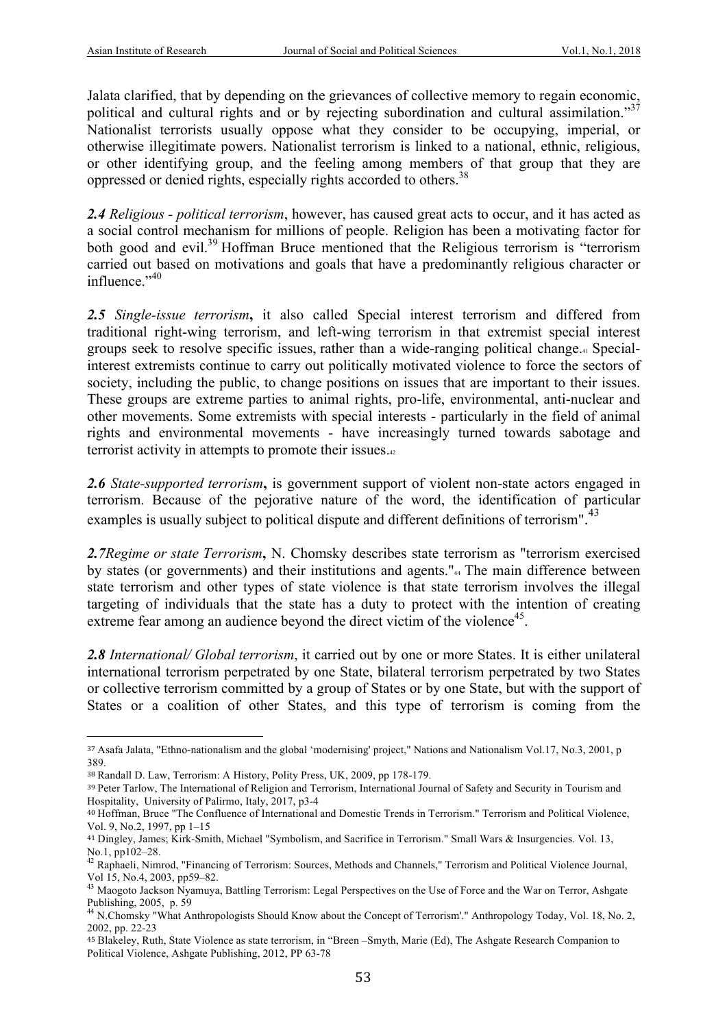Jalata clarified, that by depending on the grievances of collective memory to regain economic, political and cultural rights and or by rejecting subordination and cultural assimilation."<sup>37</sup> Nationalist terrorists usually oppose what they consider to be occupying, imperial, or otherwise illegitimate powers. Nationalist terrorism is linked to a national, ethnic, religious, or other identifying group, and the feeling among members of that group that they are oppressed or denied rights, especially rights accorded to others.<sup>38</sup>

*2.4 Religious - political terrorism*, however, has caused great acts to occur, and it has acted as a social control mechanism for millions of people. Religion has been a motivating factor for both good and evil.<sup>39</sup> Hoffman Bruce mentioned that the Religious terrorism is "terrorism carried out based on motivations and goals that have a predominantly religious character or influence." 40

*2.5 Single-issue terrorism***,** it also called Special interest terrorism and differed from traditional right-wing terrorism, and left-wing terrorism in that extremist special interest groups seek to resolve specific issues, rather than a wide-ranging political change.41 Specialinterest extremists continue to carry out politically motivated violence to force the sectors of society, including the public, to change positions on issues that are important to their issues. These groups are extreme parties to animal rights, pro-life, environmental, anti-nuclear and other movements. Some extremists with special interests - particularly in the field of animal rights and environmental movements - have increasingly turned towards sabotage and terrorist activity in attempts to promote their issues.42

*2.6 State-supported terrorism***,** is government support of violent non-state actors engaged in terrorism. Because of the pejorative nature of the word, the identification of particular examples is usually subject to political dispute and different definitions of terrorism".<sup>43</sup>

*2.7Regime or state Terrorism***,** N. Chomsky describes state terrorism as "terrorism exercised by states (or governments) and their institutions and agents."<sub>44</sub> The main difference between state terrorism and other types of state violence is that state terrorism involves the illegal targeting of individuals that the state has a duty to protect with the intention of creating extreme fear among an audience beyond the direct victim of the violence<sup>45</sup>.

*2.8 International/ Global terrorism*, it carried out by one or more States. It is either unilateral international terrorism perpetrated by one State, bilateral terrorism perpetrated by two States or collective terrorism committed by a group of States or by one State, but with the support of States or a coalition of other States, and this type of terrorism is coming from the

<sup>37</sup> Asafa Jalata, "Ethno-nationalism and the global 'modernising' project," Nations and Nationalism Vol.17, No.3, 2001, p 389.

<sup>38</sup> Randall D. Law, Terrorism: A History, Polity Press, UK, 2009, pp 178-179.

<sup>39</sup> Peter Tarlow, The International of Religion and Terrorism, International Journal of Safety and Security in Tourism and Hospitality, University of Palirmo, Italy, 2017, p3-4

<sup>40</sup> Hoffman, Bruce "The Confluence of International and Domestic Trends in Terrorism." Terrorism and Political Violence, Vol. 9, No.2, 1997, pp 1–15

<sup>41</sup> Dingley, James; Kirk-Smith, Michael "Symbolism, and Sacrifice in Terrorism." Small Wars & Insurgencies. Vol. 13,

No.1, pp102–28.<br><sup>42</sup> Raphaeli, Nimrod, "Financing of Terrorism: Sources, Methods and Channels," Terrorism and Political Violence Journal, Vol 15, No.4, 2003, pp59–82.

<sup>&</sup>lt;sup>43</sup> Maogoto Jackson Nyamuya, Battling Terrorism: Legal Perspectives on the Use of Force and the War on Terror, Ashgate Publishing, 2005, p. 59

<sup>44</sup> N.Chomsky "What Anthropologists Should Know about the Concept of Terrorism'." Anthropology Today, Vol. 18, No. 2, 2002, pp. 22-23

<sup>45</sup> Blakeley, Ruth, State Violence as state terrorism, in "Breen –Smyth, Marie (Ed), The Ashgate Research Companion to Political Violence, Ashgate Publishing, 2012, PP 63-78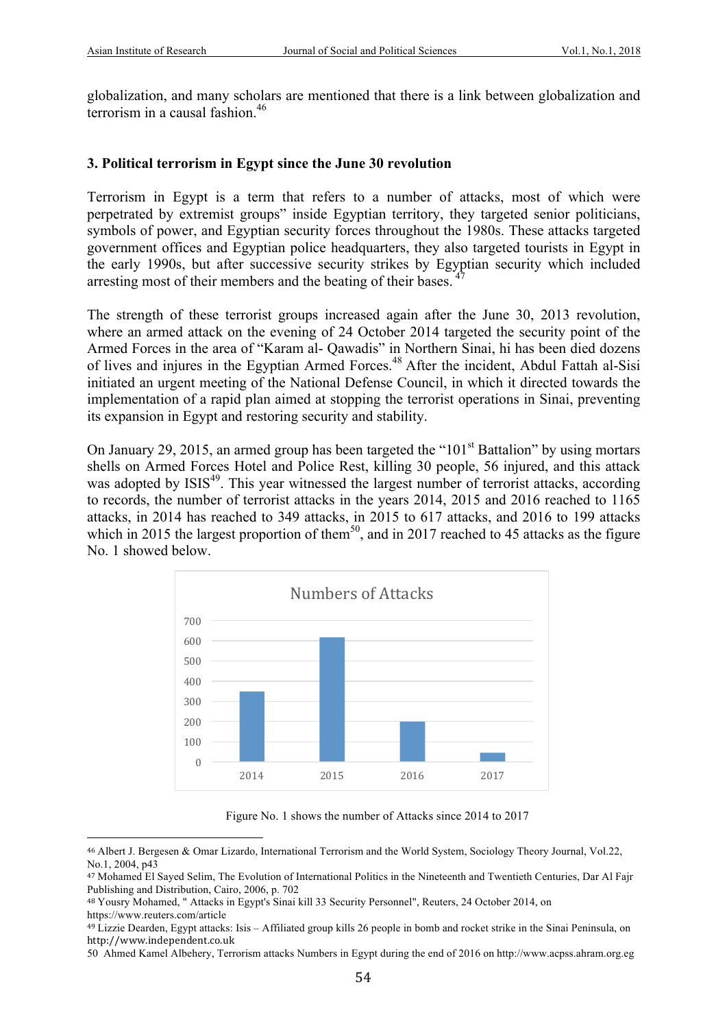globalization, and many scholars are mentioned that there is a link between globalization and terrorism in a causal fashion.<sup>46</sup>

#### **3. Political terrorism in Egypt since the June 30 revolution**

Terrorism in Egypt is a term that refers to a number of attacks, most of which were perpetrated by extremist groups" inside Egyptian territory, they targeted senior politicians, symbols of power, and Egyptian security forces throughout the 1980s. These attacks targeted government offices and Egyptian police headquarters, they also targeted tourists in Egypt in the early 1990s, but after successive security strikes by Egyptian security which included arresting most of their members and the beating of their bases.

The strength of these terrorist groups increased again after the June 30, 2013 revolution, where an armed attack on the evening of 24 October 2014 targeted the security point of the Armed Forces in the area of "Karam al- Qawadis" in Northern Sinai, hi has been died dozens of lives and injures in the Egyptian Armed Forces.<sup>48</sup> After the incident, Abdul Fattah al-Sisi initiated an urgent meeting of the National Defense Council, in which it directed towards the implementation of a rapid plan aimed at stopping the terrorist operations in Sinai, preventing its expansion in Egypt and restoring security and stability.

On January 29, 2015, an armed group has been targeted the " $101<sup>st</sup>$  Battalion" by using mortars shells on Armed Forces Hotel and Police Rest, killing 30 people, 56 injured, and this attack was adopted by ISIS<sup>49</sup>. This year witnessed the largest number of terrorist attacks, according to records, the number of terrorist attacks in the years 2014, 2015 and 2016 reached to 1165 attacks, in 2014 has reached to 349 attacks, in 2015 to 617 attacks, and 2016 to 199 attacks which in 2015 the largest proportion of them<sup>50</sup>, and in 2017 reached to 45 attacks as the figure No. 1 showed below.



Figure No. 1 shows the number of Attacks since 2014 to 2017

<sup>46</sup> Albert J. Bergesen & Omar Lizardo, International Terrorism and the World System, Sociology Theory Journal, Vol.22, No.1, 2004, p43

<sup>47</sup> Mohamed El Sayed Selim, The Evolution of International Politics in the Nineteenth and Twentieth Centuries, Dar Al Fajr Publishing and Distribution, Cairo, 2006, p. 702

<sup>48</sup> Yousry Mohamed, " Attacks in Egypt's Sinai kill 33 Security Personnel", Reuters, 24 October 2014, on https://www.reuters.com/article

<sup>49</sup> Lizzie Dearden, Egypt attacks: Isis – Affiliated group kills 26 people in bomb and rocket strike in the Sinai Peninsula, on http://www.independent.co.uk

<sup>50</sup> Ahmed Kamel Albehery, Terrorism attacks Numbers in Egypt during the end of 2016 on http://www.acpss.ahram.org.eg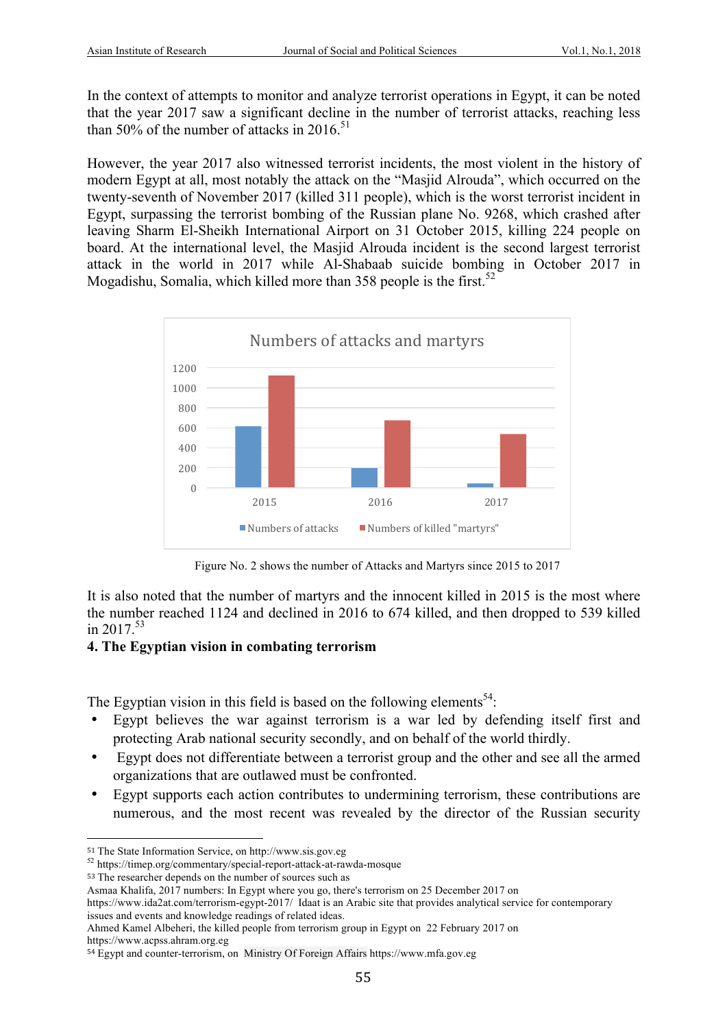In the context of attempts to monitor and analyze terrorist operations in Egypt, it can be noted that the year 2017 saw a significant decline in the number of terrorist attacks, reaching less than 50% of the number of attacks in 2016.<sup>51</sup>

However, the year 2017 also witnessed terrorist incidents, the most violent in the history of modern Egypt at all, most notably the attack on the "Masjid Alrouda", which occurred on the twenty-seventh of November 2017 (killed 311 people), which is the worst terrorist incident in Egypt, surpassing the terrorist bombing of the Russian plane No. 9268, which crashed after leaving Sharm El-Sheikh International Airport on 31 October 2015, killing 224 people on board. At the international level, the Masjid Alrouda incident is the second largest terrorist attack in the world in 2017 while Al-Shabaab suicide bombing in October 2017 in Mogadishu, Somalia, which killed more than 358 people is the first.<sup>52</sup>



Figure No. 2 shows the number of Attacks and Martyrs since 2015 to 2017

It is also noted that the number of martyrs and the innocent killed in 2015 is the most where the number reached 1124 and declined in 2016 to 674 killed, and then dropped to 539 killed in 2017. 53

### **4. The Egyptian vision in combating terrorism**

The Egyptian vision in this field is based on the following elements<sup>54</sup>:

- Egypt believes the war against terrorism is a war led by defending itself first and protecting Arab national security secondly, and on behalf of the world thirdly.
- Egypt does not differentiate between a terrorist group and the other and see all the armed organizations that are outlawed must be confronted.
- Egypt supports each action contributes to undermining terrorism, these contributions are numerous, and the most recent was revealed by the director of the Russian security

<sup>51</sup> The State Information Service, on http://www.sis.gov.eg <sup>52</sup> https://timep.org/commentary/special-report-attack-at-rawda-mosque

<sup>53</sup> The researcher depends on the number of sources such as

Asmaa Khalifa, 2017 numbers: In Egypt where you go, there's terrorism on 25 December 2017 on

https://www.ida2at.com/terrorism-egypt-2017/ Idaat is an Arabic site that provides analytical service for contemporary issues and events and knowledge readings of related ideas.

Ahmed Kamel Albeheri, the killed people from terrorism group in Egypt on 22 February 2017 on https://www.acpss.ahram.org.eg

<sup>54</sup> Egypt and counter-terrorism, on Ministry Of Foreign Affairs https://www.mfa.gov.eg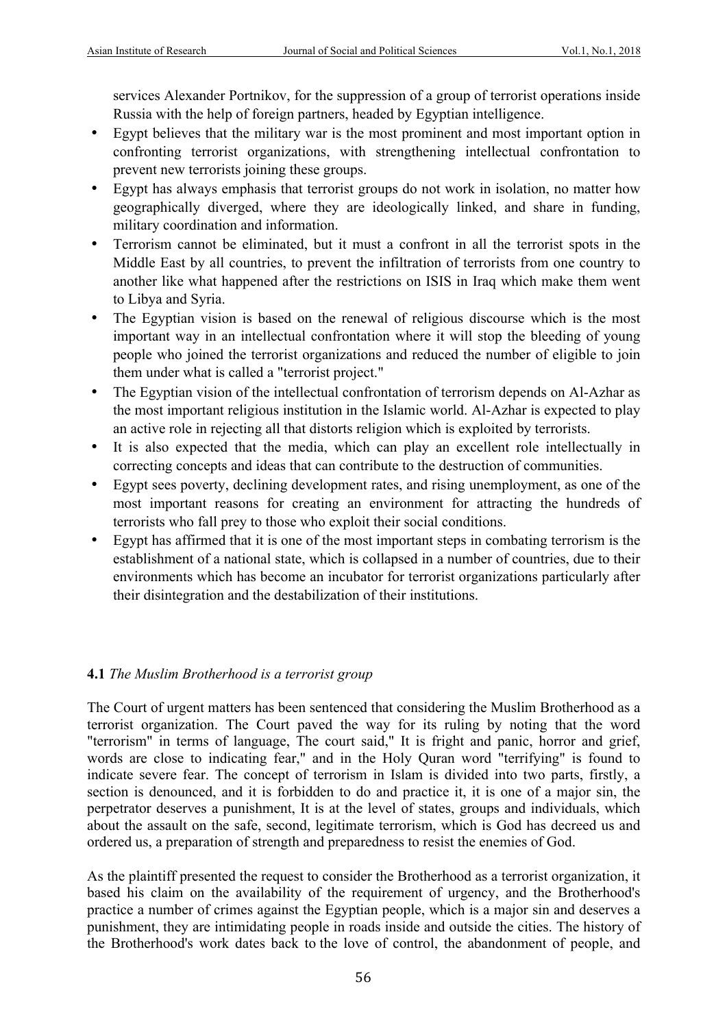services Alexander Portnikov, for the suppression of a group of terrorist operations inside Russia with the help of foreign partners, headed by Egyptian intelligence.

- Egypt believes that the military war is the most prominent and most important option in confronting terrorist organizations, with strengthening intellectual confrontation to prevent new terrorists joining these groups.
- Egypt has always emphasis that terrorist groups do not work in isolation, no matter how geographically diverged, where they are ideologically linked, and share in funding, military coordination and information.
- Terrorism cannot be eliminated, but it must a confront in all the terrorist spots in the Middle East by all countries, to prevent the infiltration of terrorists from one country to another like what happened after the restrictions on ISIS in Iraq which make them went to Libya and Syria.
- The Egyptian vision is based on the renewal of religious discourse which is the most important way in an intellectual confrontation where it will stop the bleeding of young people who joined the terrorist organizations and reduced the number of eligible to join them under what is called a "terrorist project."
- The Egyptian vision of the intellectual confrontation of terrorism depends on Al-Azhar as the most important religious institution in the Islamic world. Al-Azhar is expected to play an active role in rejecting all that distorts religion which is exploited by terrorists.
- It is also expected that the media, which can play an excellent role intellectually in correcting concepts and ideas that can contribute to the destruction of communities.
- Egypt sees poverty, declining development rates, and rising unemployment, as one of the most important reasons for creating an environment for attracting the hundreds of terrorists who fall prey to those who exploit their social conditions.
- Egypt has affirmed that it is one of the most important steps in combating terrorism is the establishment of a national state, which is collapsed in a number of countries, due to their environments which has become an incubator for terrorist organizations particularly after their disintegration and the destabilization of their institutions.

### **4.1** *The Muslim Brotherhood is a terrorist group*

The Court of urgent matters has been sentenced that considering the Muslim Brotherhood as a terrorist organization. The Court paved the way for its ruling by noting that the word "terrorism" in terms of language, The court said," It is fright and panic, horror and grief, words are close to indicating fear," and in the Holy Quran word "terrifying" is found to indicate severe fear. The concept of terrorism in Islam is divided into two parts, firstly, a section is denounced, and it is forbidden to do and practice it, it is one of a major sin, the perpetrator deserves a punishment, It is at the level of states, groups and individuals, which about the assault on the safe, second, legitimate terrorism, which is God has decreed us and ordered us, a preparation of strength and preparedness to resist the enemies of God.

As the plaintiff presented the request to consider the Brotherhood as a terrorist organization, it based his claim on the availability of the requirement of urgency, and the Brotherhood's practice a number of crimes against the Egyptian people, which is a major sin and deserves a punishment, they are intimidating people in roads inside and outside the cities. The history of the Brotherhood's work dates back to the love of control, the abandonment of people, and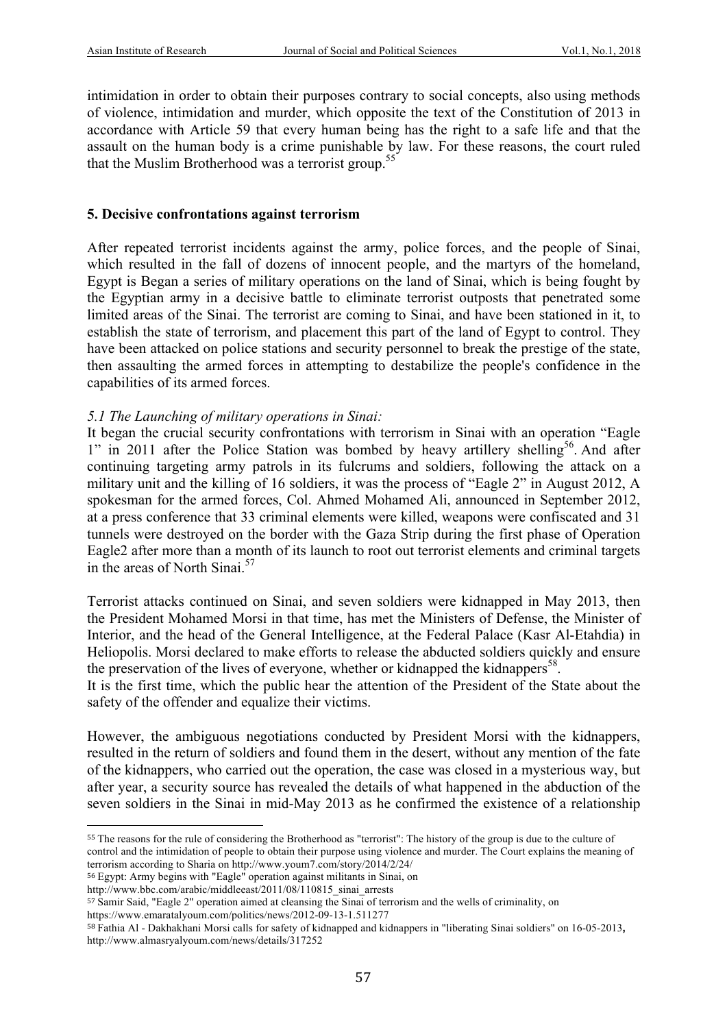intimidation in order to obtain their purposes contrary to social concepts, also using methods of violence, intimidation and murder, which opposite the text of the Constitution of 2013 in accordance with Article 59 that every human being has the right to a safe life and that the assault on the human body is a crime punishable by law. For these reasons, the court ruled that the Muslim Brotherhood was a terrorist group.<sup>55</sup>

#### **5. Decisive confrontations against terrorism**

After repeated terrorist incidents against the army, police forces, and the people of Sinai, which resulted in the fall of dozens of innocent people, and the martyrs of the homeland, Egypt is Began a series of military operations on the land of Sinai, which is being fought by the Egyptian army in a decisive battle to eliminate terrorist outposts that penetrated some limited areas of the Sinai. The terrorist are coming to Sinai, and have been stationed in it, to establish the state of terrorism, and placement this part of the land of Egypt to control. They have been attacked on police stations and security personnel to break the prestige of the state, then assaulting the armed forces in attempting to destabilize the people's confidence in the capabilities of its armed forces.

#### *5.1 The Launching of military operations in Sinai:*

It began the crucial security confrontations with terrorism in Sinai with an operation "Eagle 1" in 2011 after the Police Station was bombed by heavy artillery shelling<sup>56</sup>. And after continuing targeting army patrols in its fulcrums and soldiers, following the attack on a military unit and the killing of 16 soldiers, it was the process of "Eagle 2" in August 2012, A spokesman for the armed forces, Col. Ahmed Mohamed Ali, announced in September 2012, at a press conference that 33 criminal elements were killed, weapons were confiscated and 31 tunnels were destroyed on the border with the Gaza Strip during the first phase of Operation Eagle2 after more than a month of its launch to root out terrorist elements and criminal targets in the areas of North Sinai. $57$ 

Terrorist attacks continued on Sinai, and seven soldiers were kidnapped in May 2013, then the President Mohamed Morsi in that time, has met the Ministers of Defense, the Minister of Interior, and the head of the General Intelligence, at the Federal Palace (Kasr Al-Etahdia) in Heliopolis. Morsi declared to make efforts to release the abducted soldiers quickly and ensure the preservation of the lives of everyone, whether or kidnapped the kidnappers<sup>58</sup>.

It is the first time, which the public hear the attention of the President of the State about the safety of the offender and equalize their victims.

However, the ambiguous negotiations conducted by President Morsi with the kidnappers, resulted in the return of soldiers and found them in the desert, without any mention of the fate of the kidnappers, who carried out the operation, the case was closed in a mysterious way, but after year, a security source has revealed the details of what happened in the abduction of the seven soldiers in the Sinai in mid-May 2013 as he confirmed the existence of a relationship

 

https://www.emaratalyoum.com/politics/news/2012-09-13-1.511277

<sup>55</sup> The reasons for the rule of considering the Brotherhood as "terrorist": The history of the group is due to the culture of control and the intimidation of people to obtain their purpose using violence and murder. The Court explains the meaning of terrorism according to Sharia on http://www.youm7.com/story/2014/2/24/

<sup>56</sup> Egypt: Army begins with "Eagle" operation against militants in Sinai, on

http://www.bbc.com/arabic/middleeast/2011/08/110815\_sinai\_arrests

<sup>57</sup> Samir Said, "Eagle 2" operation aimed at cleansing the Sinai of terrorism and the wells of criminality, on

<sup>58</sup> Fathia Al - Dakhakhani Morsi calls for safety of kidnapped and kidnappers in "liberating Sinai soldiers" on 16-05-2013**,**  http://www.almasryalyoum.com/news/details/317252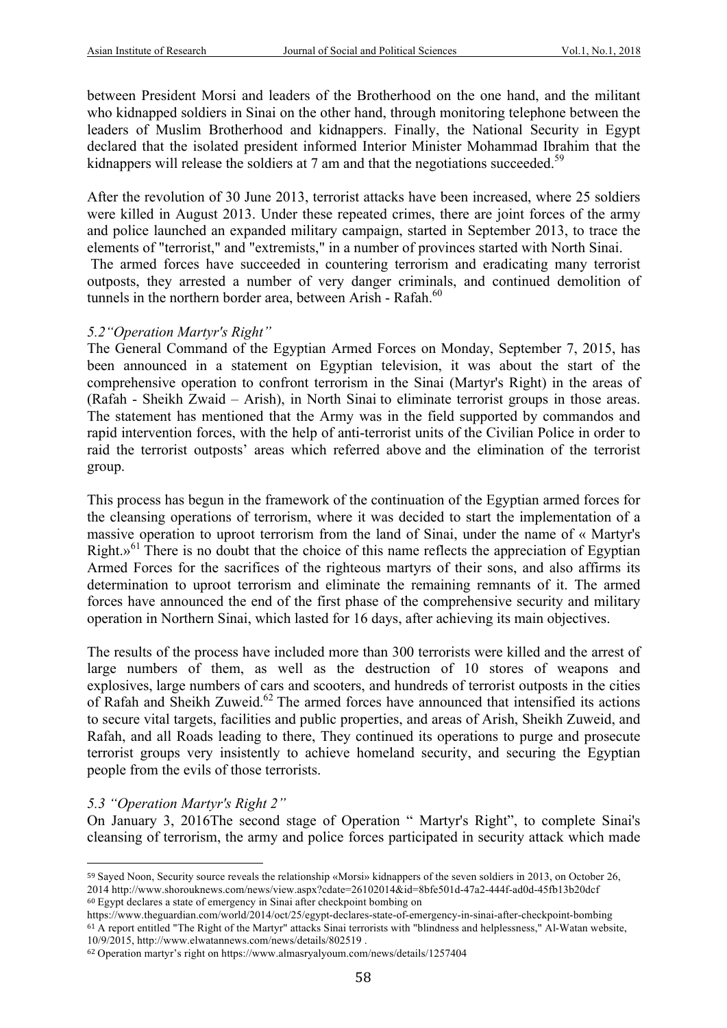between President Morsi and leaders of the Brotherhood on the one hand, and the militant who kidnapped soldiers in Sinai on the other hand, through monitoring telephone between the leaders of Muslim Brotherhood and kidnappers. Finally, the National Security in Egypt declared that the isolated president informed Interior Minister Mohammad Ibrahim that the kidnappers will release the soldiers at 7 am and that the negotiations succeeded.<sup>59</sup>

After the revolution of 30 June 2013, terrorist attacks have been increased, where 25 soldiers were killed in August 2013. Under these repeated crimes, there are joint forces of the army and police launched an expanded military campaign, started in September 2013, to trace the elements of "terrorist," and "extremists," in a number of provinces started with North Sinai. The armed forces have succeeded in countering terrorism and eradicating many terrorist

outposts, they arrested a number of very danger criminals, and continued demolition of tunnels in the northern border area, between Arish - Rafah. $60$ 

#### *5.2"Operation Martyr's Right"*

The General Command of the Egyptian Armed Forces on Monday, September 7, 2015, has been announced in a statement on Egyptian television, it was about the start of the comprehensive operation to confront terrorism in the Sinai (Martyr's Right) in the areas of (Rafah - Sheikh Zwaid – Arish), in North Sinai to eliminate terrorist groups in those areas. The statement has mentioned that the Army was in the field supported by commandos and rapid intervention forces, with the help of anti-terrorist units of the Civilian Police in order to raid the terrorist outposts' areas which referred above and the elimination of the terrorist group.

This process has begun in the framework of the continuation of the Egyptian armed forces for the cleansing operations of terrorism, where it was decided to start the implementation of a massive operation to uproot terrorism from the land of Sinai, under the name of « Martyr's Right. $v^{61}$  There is no doubt that the choice of this name reflects the appreciation of Egyptian Armed Forces for the sacrifices of the righteous martyrs of their sons, and also affirms its determination to uproot terrorism and eliminate the remaining remnants of it. The armed forces have announced the end of the first phase of the comprehensive security and military operation in Northern Sinai, which lasted for 16 days, after achieving its main objectives.

The results of the process have included more than 300 terrorists were killed and the arrest of large numbers of them, as well as the destruction of 10 stores of weapons and explosives, large numbers of cars and scooters, and hundreds of terrorist outposts in the cities of Rafah and Sheikh Zuweid.<sup>62</sup> The armed forces have announced that intensified its actions to secure vital targets, facilities and public properties, and areas of Arish, Sheikh Zuweid, and Rafah, and all Roads leading to there, They continued its operations to purge and prosecute terrorist groups very insistently to achieve homeland security, and securing the Egyptian people from the evils of those terrorists.

### *5.3 "Operation Martyr's Right 2"*

 

On January 3, 2016The second stage of Operation " Martyr's Right", to complete Sinai's cleansing of terrorism, the army and police forces participated in security attack which made

<sup>59</sup> Sayed Noon, Security source reveals the relationship «Morsi» kidnappers of the seven soldiers in 2013, on October 26, 2014 http://www.shorouknews.com/news/view.aspx?cdate=26102014&id=8bfe501d-47a2-444f-ad0d-45fb13b20dcf <sup>60</sup> Egypt declares a state of emergency in Sinai after checkpoint bombing on

https://www.theguardian.com/world/2014/oct/25/egypt-declares-state-of-emergency-in-sinai-after-checkpoint-bombing <sup>61</sup> A report entitled "The Right of the Martyr" attacks Sinai terrorists with "blindness and helplessness," Al-Watan website, 10/9/2015, http://www.elwatannews.com/news/details/802519 .

<sup>62</sup> Operation martyr's right on https://www.almasryalyoum.com/news/details/1257404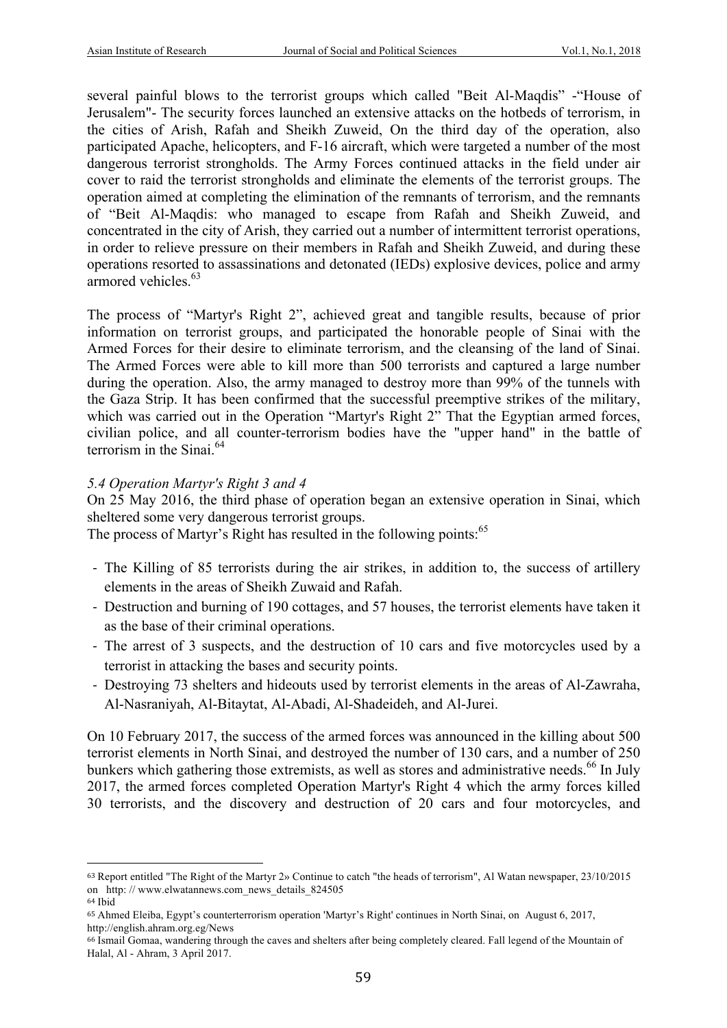several painful blows to the terrorist groups which called "Beit Al-Maqdis" -"House of Jerusalem"- The security forces launched an extensive attacks on the hotbeds of terrorism, in the cities of Arish, Rafah and Sheikh Zuweid, On the third day of the operation, also participated Apache, helicopters, and F-16 aircraft, which were targeted a number of the most dangerous terrorist strongholds. The Army Forces continued attacks in the field under air cover to raid the terrorist strongholds and eliminate the elements of the terrorist groups. The operation aimed at completing the elimination of the remnants of terrorism, and the remnants of "Beit Al-Maqdis: who managed to escape from Rafah and Sheikh Zuweid, and concentrated in the city of Arish, they carried out a number of intermittent terrorist operations, in order to relieve pressure on their members in Rafah and Sheikh Zuweid, and during these operations resorted to assassinations and detonated (IEDs) explosive devices, police and army armored vehicles.<sup>63</sup>

The process of "Martyr's Right 2", achieved great and tangible results, because of prior information on terrorist groups, and participated the honorable people of Sinai with the Armed Forces for their desire to eliminate terrorism, and the cleansing of the land of Sinai. The Armed Forces were able to kill more than 500 terrorists and captured a large number during the operation. Also, the army managed to destroy more than 99% of the tunnels with the Gaza Strip. It has been confirmed that the successful preemptive strikes of the military, which was carried out in the Operation "Martyr's Right 2" That the Egyptian armed forces, civilian police, and all counter-terrorism bodies have the "upper hand" in the battle of terrorism in the Sinai. $64$ 

#### *5.4 Operation Martyr's Right 3 and 4*

 

On 25 May 2016, the third phase of operation began an extensive operation in Sinai, which sheltered some very dangerous terrorist groups.

The process of Martyr's Right has resulted in the following points:<sup>65</sup>

- The Killing of 85 terrorists during the air strikes, in addition to, the success of artillery elements in the areas of Sheikh Zuwaid and Rafah.
- Destruction and burning of 190 cottages, and 57 houses, the terrorist elements have taken it as the base of their criminal operations.
- The arrest of 3 suspects, and the destruction of 10 cars and five motorcycles used by a terrorist in attacking the bases and security points.
- Destroying 73 shelters and hideouts used by terrorist elements in the areas of Al-Zawraha, Al-Nasraniyah, Al-Bitaytat, Al-Abadi, Al-Shadeideh, and Al-Jurei.

On 10 February 2017, the success of the armed forces was announced in the killing about 500 terrorist elements in North Sinai, and destroyed the number of 130 cars, and a number of 250 bunkers which gathering those extremists, as well as stores and administrative needs.<sup>66</sup> In July 2017, the armed forces completed Operation Martyr's Right 4 which the army forces killed 30 terrorists, and the discovery and destruction of 20 cars and four motorcycles, and

<sup>63</sup> Report entitled "The Right of the Martyr 2» Continue to catch "the heads of terrorism", Al Watan newspaper, 23/10/2015 on http: // www.elwatannews.com\_news\_details\_824505 <sup>64</sup> Ibid

<sup>65</sup> Ahmed Eleiba, Egypt's counterterrorism operation 'Martyr's Right' continues in North Sinai, on August 6, 2017, http://english.ahram.org.eg/News

<sup>66</sup> Ismail Gomaa, wandering through the caves and shelters after being completely cleared. Fall legend of the Mountain of Halal, Al - Ahram, 3 April 2017.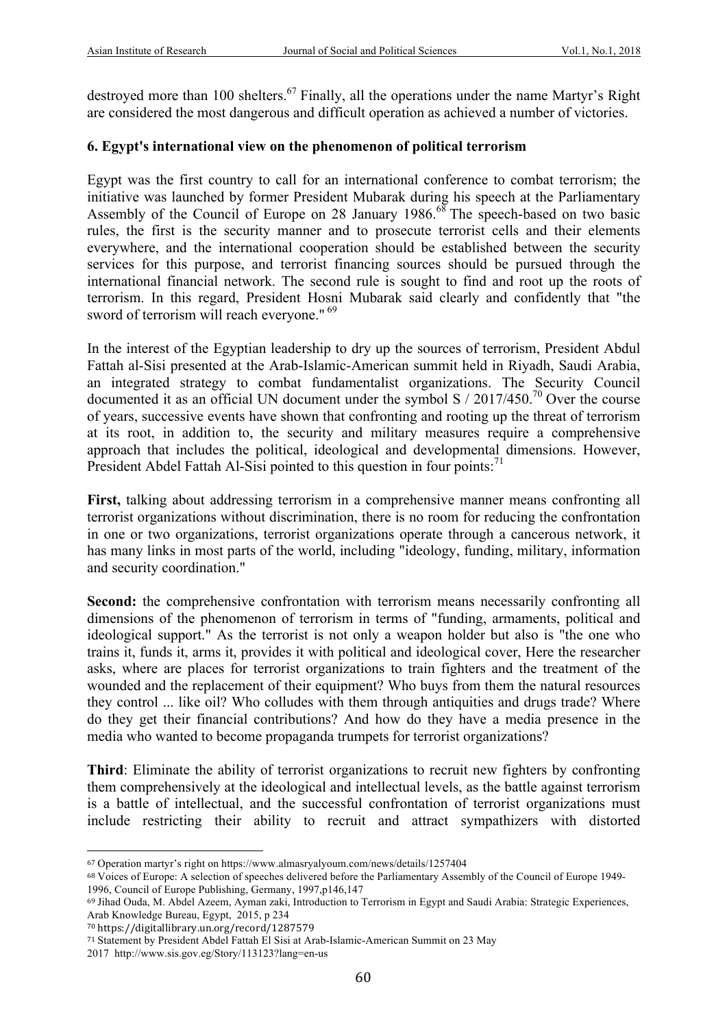destroyed more than 100 shelters.<sup>67</sup> Finally, all the operations under the name Martyr's Right are considered the most dangerous and difficult operation as achieved a number of victories.

#### **6. Egypt's international view on the phenomenon of political terrorism**

Egypt was the first country to call for an international conference to combat terrorism; the initiative was launched by former President Mubarak during his speech at the Parliamentary Assembly of the Council of Europe on 28 January  $1986$ .<sup>68</sup> The speech-based on two basic rules, the first is the security manner and to prosecute terrorist cells and their elements everywhere, and the international cooperation should be established between the security services for this purpose, and terrorist financing sources should be pursued through the international financial network. The second rule is sought to find and root up the roots of terrorism. In this regard, President Hosni Mubarak said clearly and confidently that "the sword of terrorism will reach everyone."<sup>69</sup>

In the interest of the Egyptian leadership to dry up the sources of terrorism, President Abdul Fattah al-Sisi presented at the Arab-Islamic-American summit held in Riyadh, Saudi Arabia, an integrated strategy to combat fundamentalist organizations. The Security Council documented it as an official UN document under the symbol S  $/ 2017/450$ .<sup>70</sup> Over the course of years, successive events have shown that confronting and rooting up the threat of terrorism at its root, in addition to, the security and military measures require a comprehensive approach that includes the political, ideological and developmental dimensions. However, President Abdel Fattah Al-Sisi pointed to this question in four points:<sup>71</sup>

**First,** talking about addressing terrorism in a comprehensive manner means confronting all terrorist organizations without discrimination, there is no room for reducing the confrontation in one or two organizations, terrorist organizations operate through a cancerous network, it has many links in most parts of the world, including "ideology, funding, military, information and security coordination."

**Second:** the comprehensive confrontation with terrorism means necessarily confronting all dimensions of the phenomenon of terrorism in terms of "funding, armaments, political and ideological support." As the terrorist is not only a weapon holder but also is "the one who trains it, funds it, arms it, provides it with political and ideological cover, Here the researcher asks, where are places for terrorist organizations to train fighters and the treatment of the wounded and the replacement of their equipment? Who buys from them the natural resources they control ... like oil? Who colludes with them through antiquities and drugs trade? Where do they get their financial contributions? And how do they have a media presence in the media who wanted to become propaganda trumpets for terrorist organizations?

**Third**: Eliminate the ability of terrorist organizations to recruit new fighters by confronting them comprehensively at the ideological and intellectual levels, as the battle against terrorism is a battle of intellectual, and the successful confrontation of terrorist organizations must include restricting their ability to recruit and attract sympathizers with distorted

<sup>67</sup> Operation martyr's right on https://www.almasryalyoum.com/news/details/1257404

<sup>68</sup> Voices of Europe: A selection of speeches delivered before the Parliamentary Assembly of the Council of Europe 1949- 1996, Council of Europe Publishing, Germany, 1997,p146,147

<sup>69</sup> Jihad Ouda, M. Abdel Azeem, Ayman zaki, Introduction to Terrorism in Egypt and Saudi Arabia: Strategic Experiences, Arab Knowledge Bureau, Egypt, 2015, p 234

<sup>70</sup> https://digitallibrary.un.org/record/1287579

<sup>71</sup> Statement by President Abdel Fattah El Sisi at Arab-Islamic-American Summit on 23 May

<sup>2017</sup> http://www.sis.gov.eg/Story/113123?lang=en-us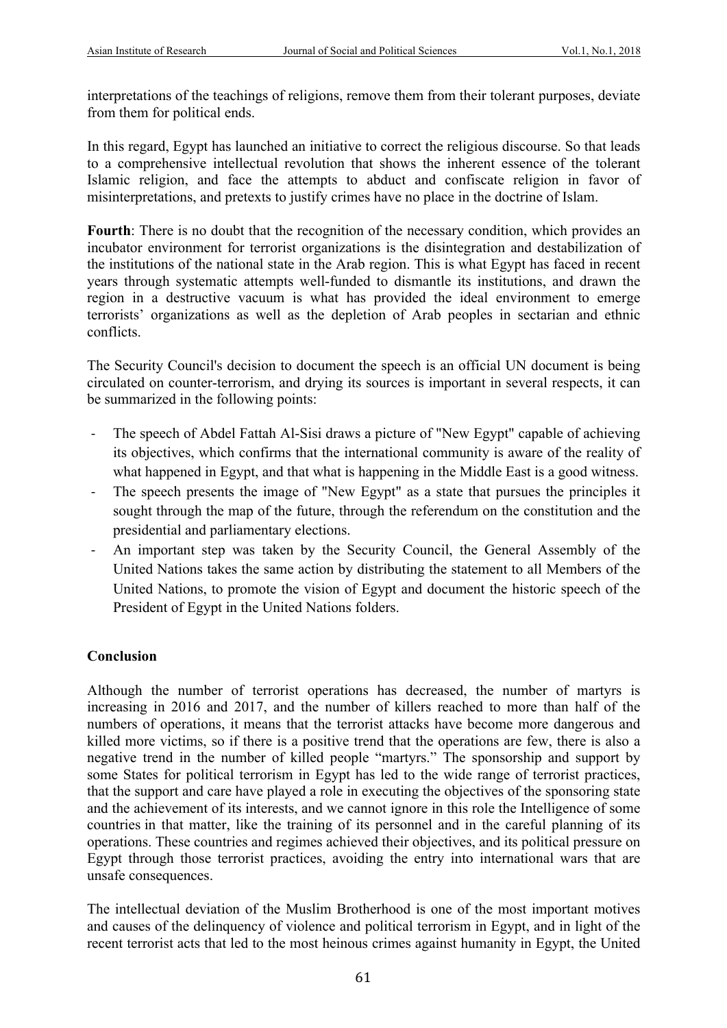interpretations of the teachings of religions, remove them from their tolerant purposes, deviate from them for political ends.

In this regard, Egypt has launched an initiative to correct the religious discourse. So that leads to a comprehensive intellectual revolution that shows the inherent essence of the tolerant Islamic religion, and face the attempts to abduct and confiscate religion in favor of misinterpretations, and pretexts to justify crimes have no place in the doctrine of Islam.

Fourth: There is no doubt that the recognition of the necessary condition, which provides an incubator environment for terrorist organizations is the disintegration and destabilization of the institutions of the national state in the Arab region. This is what Egypt has faced in recent years through systematic attempts well-funded to dismantle its institutions, and drawn the region in a destructive vacuum is what has provided the ideal environment to emerge terrorists' organizations as well as the depletion of Arab peoples in sectarian and ethnic conflicts.

The Security Council's decision to document the speech is an official UN document is being circulated on counter-terrorism, and drying its sources is important in several respects, it can be summarized in the following points:

- The speech of Abdel Fattah Al-Sisi draws a picture of "New Egypt" capable of achieving its objectives, which confirms that the international community is aware of the reality of what happened in Egypt, and that what is happening in the Middle East is a good witness.
- The speech presents the image of "New Egypt" as a state that pursues the principles it sought through the map of the future, through the referendum on the constitution and the presidential and parliamentary elections.
- An important step was taken by the Security Council, the General Assembly of the United Nations takes the same action by distributing the statement to all Members of the United Nations, to promote the vision of Egypt and document the historic speech of the President of Egypt in the United Nations folders.

### **Conclusion**

Although the number of terrorist operations has decreased, the number of martyrs is increasing in 2016 and 2017, and the number of killers reached to more than half of the numbers of operations, it means that the terrorist attacks have become more dangerous and killed more victims, so if there is a positive trend that the operations are few, there is also a negative trend in the number of killed people "martyrs." The sponsorship and support by some States for political terrorism in Egypt has led to the wide range of terrorist practices, that the support and care have played a role in executing the objectives of the sponsoring state and the achievement of its interests, and we cannot ignore in this role the Intelligence of some countries in that matter, like the training of its personnel and in the careful planning of its operations. These countries and regimes achieved their objectives, and its political pressure on Egypt through those terrorist practices, avoiding the entry into international wars that are unsafe consequences.

The intellectual deviation of the Muslim Brotherhood is one of the most important motives and causes of the delinquency of violence and political terrorism in Egypt, and in light of the recent terrorist acts that led to the most heinous crimes against humanity in Egypt, the United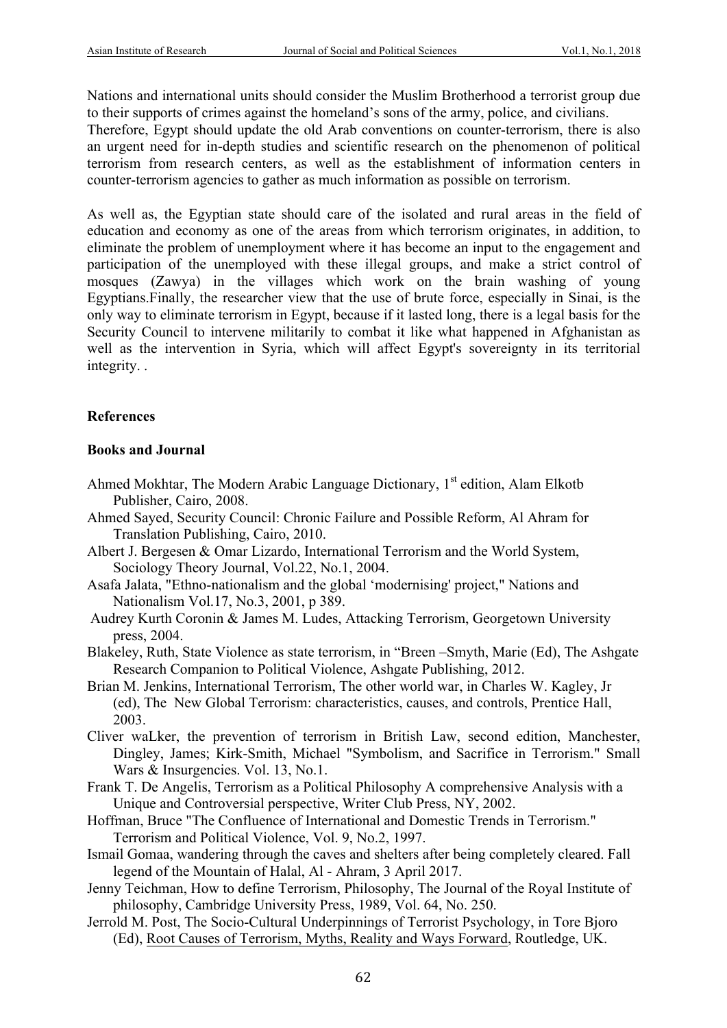Nations and international units should consider the Muslim Brotherhood a terrorist group due to their supports of crimes against the homeland's sons of the army, police, and civilians.

Therefore, Egypt should update the old Arab conventions on counter-terrorism, there is also an urgent need for in-depth studies and scientific research on the phenomenon of political terrorism from research centers, as well as the establishment of information centers in counter-terrorism agencies to gather as much information as possible on terrorism.

As well as, the Egyptian state should care of the isolated and rural areas in the field of education and economy as one of the areas from which terrorism originates, in addition, to eliminate the problem of unemployment where it has become an input to the engagement and participation of the unemployed with these illegal groups, and make a strict control of mosques (Zawya) in the villages which work on the brain washing of young Egyptians.Finally, the researcher view that the use of brute force, especially in Sinai, is the only way to eliminate terrorism in Egypt, because if it lasted long, there is a legal basis for the Security Council to intervene militarily to combat it like what happened in Afghanistan as well as the intervention in Syria, which will affect Egypt's sovereignty in its territorial integrity. .

# **References**

## **Books and Journal**

- Ahmed Mokhtar, The Modern Arabic Language Dictionary, 1<sup>st</sup> edition, Alam Elkotb Publisher, Cairo, 2008.
- Ahmed Sayed, Security Council: Chronic Failure and Possible Reform, Al Ahram for Translation Publishing, Cairo, 2010.
- Albert J. Bergesen & Omar Lizardo, International Terrorism and the World System, Sociology Theory Journal, Vol.22, No.1, 2004.
- Asafa Jalata, "Ethno-nationalism and the global 'modernising' project," Nations and Nationalism Vol.17, No.3, 2001, p 389.
- Audrey Kurth Coronin & James M. Ludes, Attacking Terrorism, Georgetown University press, 2004.
- Blakeley, Ruth, State Violence as state terrorism, in "Breen –Smyth, Marie (Ed), The Ashgate Research Companion to Political Violence, Ashgate Publishing, 2012.
- Brian M. Jenkins, International Terrorism, The other world war, in Charles W. Kagley, Jr (ed), The New Global Terrorism: characteristics, causes, and controls, Prentice Hall, 2003.
- Cliver waLker, the prevention of terrorism in British Law, second edition, Manchester, Dingley, James; Kirk-Smith, Michael "Symbolism, and Sacrifice in Terrorism." Small Wars & Insurgencies. Vol. 13, No.1.
- Frank T. De Angelis, Terrorism as a Political Philosophy A comprehensive Analysis with a Unique and Controversial perspective, Writer Club Press, NY, 2002.
- Hoffman, Bruce "The Confluence of International and Domestic Trends in Terrorism." Terrorism and Political Violence, Vol. 9, No.2, 1997.
- Ismail Gomaa, wandering through the caves and shelters after being completely cleared. Fall legend of the Mountain of Halal, Al - Ahram, 3 April 2017.
- Jenny Teichman, How to define Terrorism, Philosophy, The Journal of the Royal Institute of philosophy, Cambridge University Press, 1989, Vol. 64, No. 250.
- Jerrold M. Post, The Socio-Cultural Underpinnings of Terrorist Psychology, in Tore Bjoro (Ed), Root Causes of Terrorism, Myths, Reality and Ways Forward, Routledge, UK.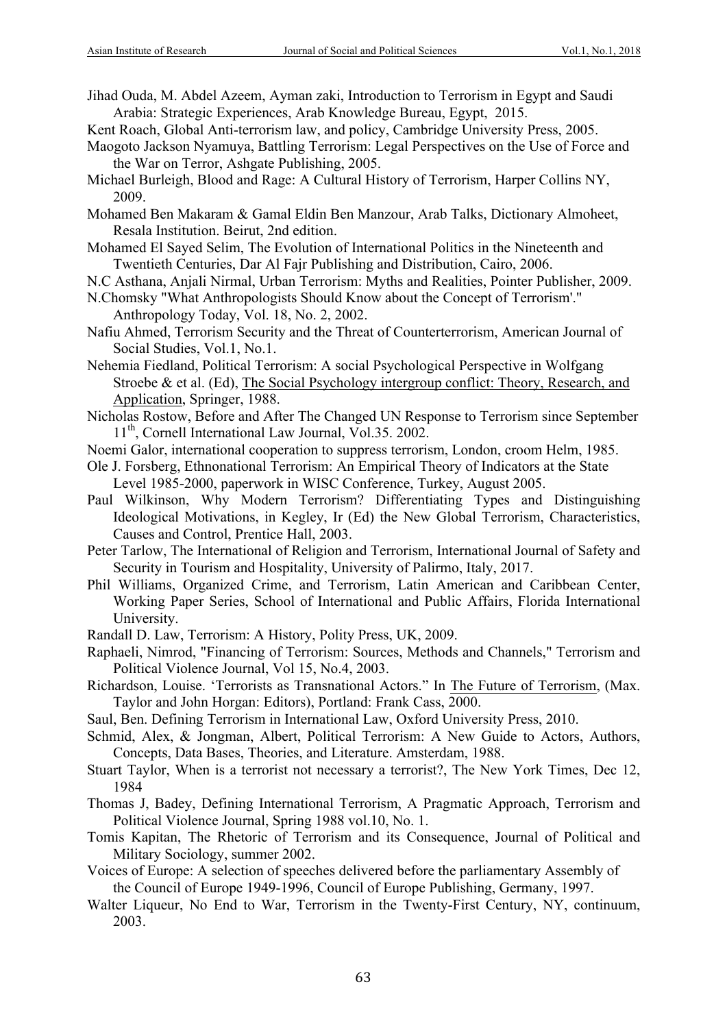- Jihad Ouda, M. Abdel Azeem, Ayman zaki, Introduction to Terrorism in Egypt and Saudi Arabia: Strategic Experiences, Arab Knowledge Bureau, Egypt, 2015.
- Kent Roach, Global Anti-terrorism law, and policy, Cambridge University Press, 2005.
- Maogoto Jackson Nyamuya, Battling Terrorism: Legal Perspectives on the Use of Force and the War on Terror, Ashgate Publishing, 2005.
- Michael Burleigh, Blood and Rage: A Cultural History of Terrorism, Harper Collins NY, 2009.
- Mohamed Ben Makaram & Gamal Eldin Ben Manzour, Arab Talks, Dictionary Almoheet, Resala Institution. Beirut, 2nd edition.
- Mohamed El Sayed Selim, The Evolution of International Politics in the Nineteenth and Twentieth Centuries, Dar Al Fajr Publishing and Distribution, Cairo, 2006.
- N.C Asthana, Anjali Nirmal, Urban Terrorism: Myths and Realities, Pointer Publisher, 2009.
- N.Chomsky "What Anthropologists Should Know about the Concept of Terrorism'." Anthropology Today, Vol. 18, No. 2, 2002.
- Nafiu Ahmed, Terrorism Security and the Threat of Counterterrorism, American Journal of Social Studies, Vol.1, No.1.
- Nehemia Fiedland, Political Terrorism: A social Psychological Perspective in Wolfgang Stroebe & et al. (Ed), The Social Psychology intergroup conflict: Theory, Research, and Application, Springer, 1988.
- Nicholas Rostow, Before and After The Changed UN Response to Terrorism since September 11<sup>th</sup>, Cornell International Law Journal, Vol.35. 2002.
- Noemi Galor, international cooperation to suppress terrorism, London, croom Helm, 1985.
- Ole J. Forsberg, Ethnonational Terrorism: An Empirical Theory of Indicators at the State Level 1985-2000, paperwork in WISC Conference, Turkey, August 2005.
- Paul Wilkinson, Why Modern Terrorism? Differentiating Types and Distinguishing Ideological Motivations, in Kegley, Ir (Ed) the New Global Terrorism, Characteristics, Causes and Control, Prentice Hall, 2003.
- Peter Tarlow, The International of Religion and Terrorism, International Journal of Safety and Security in Tourism and Hospitality, University of Palirmo, Italy, 2017.
- Phil Williams, Organized Crime, and Terrorism, Latin American and Caribbean Center, Working Paper Series, School of International and Public Affairs, Florida International University.
- Randall D. Law, Terrorism: A History, Polity Press, UK, 2009.
- Raphaeli, Nimrod, "Financing of Terrorism: Sources, Methods and Channels," Terrorism and Political Violence Journal, Vol 15, No.4, 2003.
- Richardson, Louise. 'Terrorists as Transnational Actors." In The Future of Terrorism, (Max. Taylor and John Horgan: Editors), Portland: Frank Cass, 2000.
- Saul, Ben. Defining Terrorism in International Law, Oxford University Press, 2010.
- Schmid, Alex, & Jongman, Albert, Political Terrorism: A New Guide to Actors, Authors, Concepts, Data Bases, Theories, and Literature. Amsterdam, 1988.
- Stuart Taylor, When is a terrorist not necessary a terrorist?, The New York Times, Dec 12, 1984
- Thomas J, Badey, Defining International Terrorism, A Pragmatic Approach, Terrorism and Political Violence Journal, Spring 1988 vol.10, No. 1.
- Tomis Kapitan, The Rhetoric of Terrorism and its Consequence, Journal of Political and Military Sociology, summer 2002.
- Voices of Europe: A selection of speeches delivered before the parliamentary Assembly of the Council of Europe 1949-1996, Council of Europe Publishing, Germany, 1997.
- Walter Liqueur, No End to War, Terrorism in the Twenty-First Century, NY, continuum, 2003.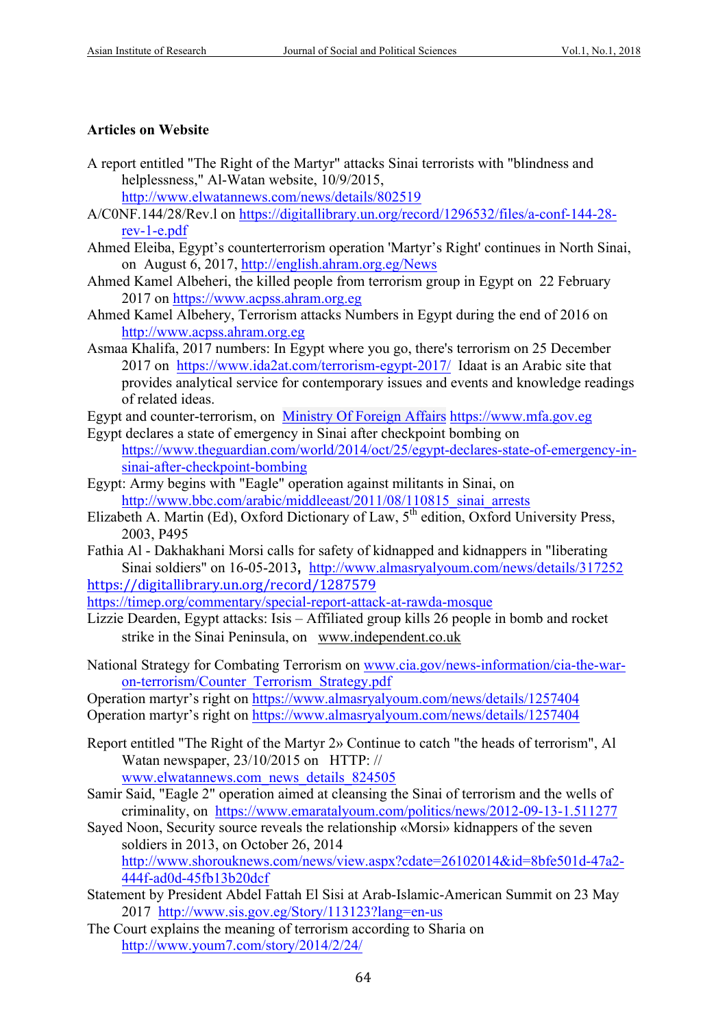#### **Articles on Website**

- A report entitled "The Right of the Martyr" attacks Sinai terrorists with "blindness and helplessness," Al-Watan website, 10/9/2015, http://www.elwatannews.com/news/details/802519
- A/C0NF.144/28/Rev.l on https://digitallibrary.un.org/record/1296532/files/a-conf-144-28 rev-1-e.pdf
- Ahmed Eleiba, Egypt's counterterrorism operation 'Martyr's Right' continues in North Sinai, on August 6, 2017, http://english.ahram.org.eg/News
- Ahmed Kamel Albeheri, the killed people from terrorism group in Egypt on 22 February 2017 on https://www.acpss.ahram.org.eg
- Ahmed Kamel Albehery, Terrorism attacks Numbers in Egypt during the end of 2016 on http://www.acpss.ahram.org.eg
- Asmaa Khalifa, 2017 numbers: In Egypt where you go, there's terrorism on 25 December 2017 on https://www.ida2at.com/terrorism-egypt-2017/ Idaat is an Arabic site that provides analytical service for contemporary issues and events and knowledge readings of related ideas.
- Egypt and counter-terrorism, on Ministry Of Foreign Affairs https://www.mfa.gov.eg
- Egypt declares a state of emergency in Sinai after checkpoint bombing on https://www.theguardian.com/world/2014/oct/25/egypt-declares-state-of-emergency-insinai-after-checkpoint-bombing
- Egypt: Army begins with "Eagle" operation against militants in Sinai, on http://www.bbc.com/arabic/middleeast/2011/08/110815\_sinai\_arrests
- Elizabeth A. Martin (Ed), Oxford Dictionary of Law, 5<sup>th</sup> edition, Oxford University Press, 2003, P495
- Fathia Al Dakhakhani Morsi calls for safety of kidnapped and kidnappers in "liberating Sinai soldiers" on 16-05-2013**,** http://www.almasryalyoum.com/news/details/317252 https://digitallibrary.un.org/record/1287579

https://timep.org/commentary/special-report-attack-at-rawda-mosque

- Lizzie Dearden, Egypt attacks: Isis Affiliated group kills 26 people in bomb and rocket strike in the Sinai Peninsula, on www.independent.co.uk
- National Strategy for Combating Terrorism on www.cia.gov/news-information/cia-the-waron-terrorism/Counter\_Terrorism\_Strategy.pdf

Operation martyr's right on https://www.almasryalyoum.com/news/details/1257404 Operation martyr's right on https://www.almasryalyoum.com/news/details/1257404

- Report entitled "The Right of the Martyr 2» Continue to catch "the heads of terrorism", Al Watan newspaper, 23/10/2015 on HTTP: // www.elwatannews.com\_news\_details\_824505
- Samir Said, "Eagle 2" operation aimed at cleansing the Sinai of terrorism and the wells of criminality, on https://www.emaratalyoum.com/politics/news/2012-09-13-1.511277
- Sayed Noon, Security source reveals the relationship «Morsi» kidnappers of the seven soldiers in 2013, on October 26, 2014 http://www.shorouknews.com/news/view.aspx?cdate=26102014&id=8bfe501d-47a2- 444f-ad0d-45fb13b20dcf
- Statement by President Abdel Fattah El Sisi at Arab-Islamic-American Summit on 23 May 2017 http://www.sis.gov.eg/Story/113123?lang=en-us
- The Court explains the meaning of terrorism according to Sharia on http://www.youm7.com/story/2014/2/24/